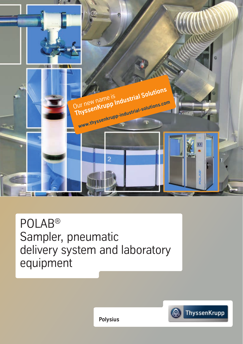

POLAB® Sampler, pneumatic delivery system and laboratory equipment



**Polysius**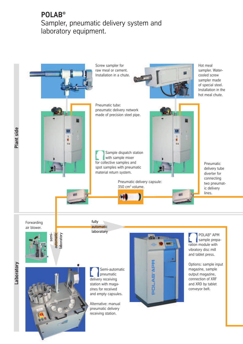## **POLAB<sup>®</sup>**<br>Sampler, pneumatic delivery system and sampler, presimatic astrony system and laboratory equipment.